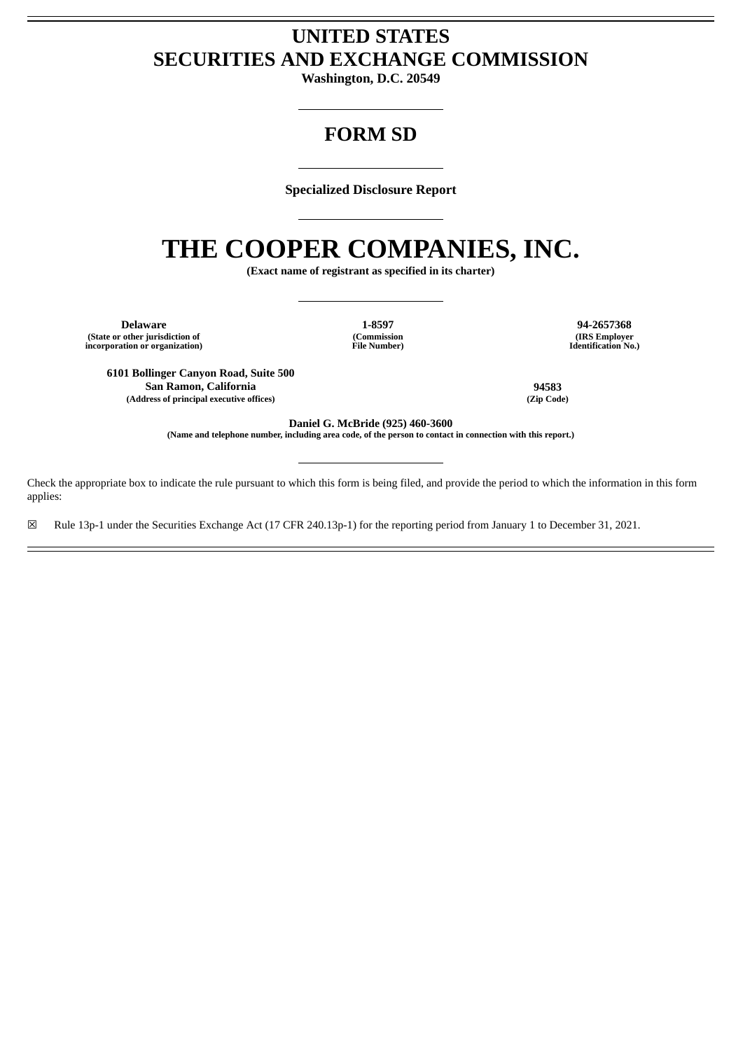# **UNITED STATES SECURITIES AND EXCHANGE COMMISSION**

**Washington, D.C. 20549**

# **FORM SD**

**Specialized Disclosure Report**

# **THE COOPER COMPANIES, INC.**

**(Exact name of registrant as specified in its charter)**

**Delaware 1-8597 94-2657368 (State or other jurisdiction of incorporation or organization)**

**(Commission File Number)**

**(IRS Employer Identification No.)**

**6101 Bollinger Canyon Road, Suite 500 San Ramon, California 94583 (Address of principal executive offices) (Zip Code)**

**Daniel G. McBride (925) 460-3600**

(Name and telephone number, including area code, of the person to contact in connection with this report.)

Check the appropriate box to indicate the rule pursuant to which this form is being filed, and provide the period to which the information in this form applies:

☒ Rule 13p-1 under the Securities Exchange Act (17 CFR 240.13p-1) for the reporting period from January 1 to December 31, 2021.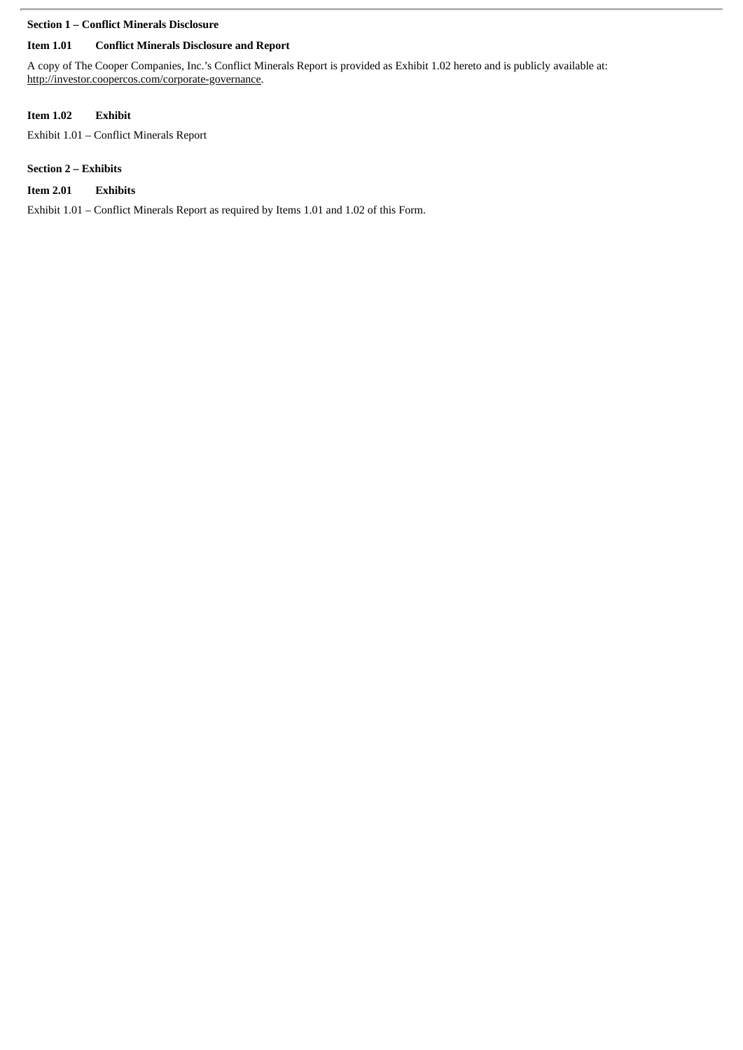### **Section 1 – Conflict Minerals Disclosure**

## **Item 1.01 Conflict Minerals Disclosure and Report**

A copy of The Cooper Companies, Inc.'s Conflict Minerals Report is provided as Exhibit 1.02 hereto and is publicly available at: http://investor.coopercos.com/corporate-governance.

# **Item 1.02 Exhibit**

Exhibit 1.01 – Conflict Minerals Report

# **Section 2 – Exhibits**

# **Item 2.01 Exhibits**

Exhibit 1.01 – Conflict Minerals Report as required by Items 1.01 and 1.02 of this Form.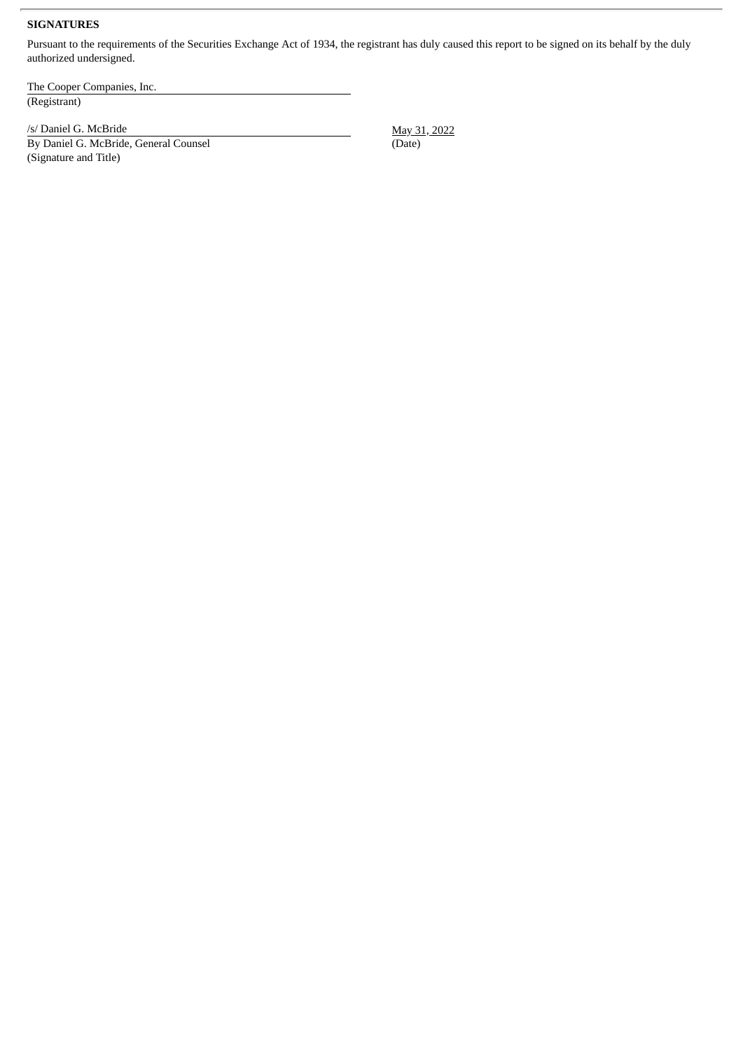#### **SIGNATURES**

Pursuant to the requirements of the Securities Exchange Act of 1934, the registrant has duly caused this report to be signed on its behalf by the duly authorized undersigned.

The Cooper Companies, Inc. (Registrant)

/s/ Daniel G. McBride May 31, 2022

(Signature and Title)

By Daniel G. McBride, General Counsel (Date) (Date)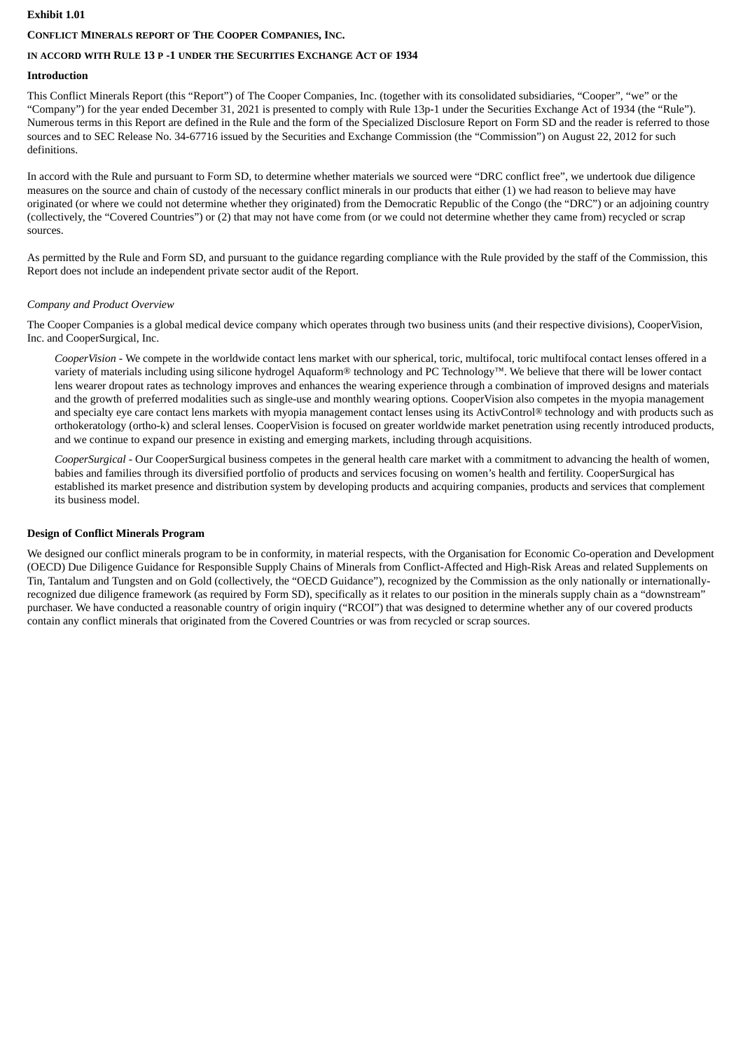#### **Exhibit 1.01**

#### **CONFLICT MINERALS REPORT OF THE COOPER COMPANIES, INC.**

#### **IN ACCORD WITH RULE 13 P -1 UNDER THE SECURITIES EXCHANGE ACT OF 1934**

#### **Introduction**

This Conflict Minerals Report (this "Report") of The Cooper Companies, Inc. (together with its consolidated subsidiaries, "Cooper", "we" or the "Company") for the year ended December 31, 2021 is presented to comply with Rule 13p-1 under the Securities Exchange Act of 1934 (the "Rule"). Numerous terms in this Report are defined in the Rule and the form of the Specialized Disclosure Report on Form SD and the reader is referred to those sources and to SEC Release No. 34-67716 issued by the Securities and Exchange Commission (the "Commission") on August 22, 2012 for such definitions.

In accord with the Rule and pursuant to Form SD, to determine whether materials we sourced were "DRC conflict free", we undertook due diligence measures on the source and chain of custody of the necessary conflict minerals in our products that either (1) we had reason to believe may have originated (or where we could not determine whether they originated) from the Democratic Republic of the Congo (the "DRC") or an adjoining country (collectively, the "Covered Countries") or (2) that may not have come from (or we could not determine whether they came from) recycled or scrap sources.

As permitted by the Rule and Form SD, and pursuant to the guidance regarding compliance with the Rule provided by the staff of the Commission, this Report does not include an independent private sector audit of the Report.

#### *Company and Product Overview*

The Cooper Companies is a global medical device company which operates through two business units (and their respective divisions), CooperVision, Inc. and CooperSurgical, Inc.

*CooperVision* - We compete in the worldwide contact lens market with our spherical, toric, multifocal, toric multifocal contact lenses offered in a variety of materials including using silicone hydrogel Aquaform® technology and PC Technology™. We believe that there will be lower contact lens wearer dropout rates as technology improves and enhances the wearing experience through a combination of improved designs and materials and the growth of preferred modalities such as single-use and monthly wearing options. CooperVision also competes in the myopia management and specialty eye care contact lens markets with myopia management contact lenses using its ActivControl® technology and with products such as orthokeratology (ortho-k) and scleral lenses. CooperVision is focused on greater worldwide market penetration using recently introduced products, and we continue to expand our presence in existing and emerging markets, including through acquisitions.

*CooperSurgical -* Our CooperSurgical business competes in the general health care market with a commitment to advancing the health of women, babies and families through its diversified portfolio of products and services focusing on women's health and fertility. CooperSurgical has established its market presence and distribution system by developing products and acquiring companies, products and services that complement its business model.

#### **Design of Conflict Minerals Program**

We designed our conflict minerals program to be in conformity, in material respects, with the Organisation for Economic Co-operation and Development (OECD) Due Diligence Guidance for Responsible Supply Chains of Minerals from Conflict-Affected and High-Risk Areas and related Supplements on Tin, Tantalum and Tungsten and on Gold (collectively, the "OECD Guidance"), recognized by the Commission as the only nationally or internationallyrecognized due diligence framework (as required by Form SD), specifically as it relates to our position in the minerals supply chain as a "downstream" purchaser. We have conducted a reasonable country of origin inquiry ("RCOI") that was designed to determine whether any of our covered products contain any conflict minerals that originated from the Covered Countries or was from recycled or scrap sources.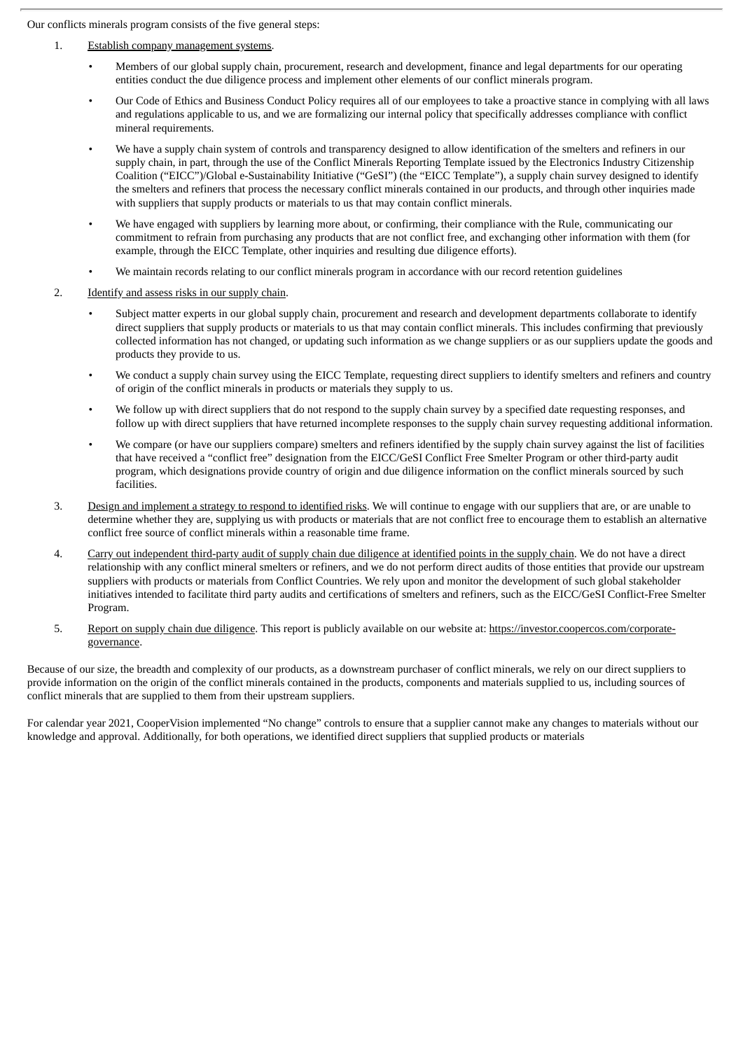Our conflicts minerals program consists of the five general steps:

- 1. Establish company management systems.
	- Members of our global supply chain, procurement, research and development, finance and legal departments for our operating entities conduct the due diligence process and implement other elements of our conflict minerals program.
	- Our Code of Ethics and Business Conduct Policy requires all of our employees to take a proactive stance in complying with all laws and regulations applicable to us, and we are formalizing our internal policy that specifically addresses compliance with conflict mineral requirements.
	- We have a supply chain system of controls and transparency designed to allow identification of the smelters and refiners in our supply chain, in part, through the use of the Conflict Minerals Reporting Template issued by the Electronics Industry Citizenship Coalition ("EICC")/Global e-Sustainability Initiative ("GeSI") (the "EICC Template"), a supply chain survey designed to identify the smelters and refiners that process the necessary conflict minerals contained in our products, and through other inquiries made with suppliers that supply products or materials to us that may contain conflict minerals.
	- We have engaged with suppliers by learning more about, or confirming, their compliance with the Rule, communicating our commitment to refrain from purchasing any products that are not conflict free, and exchanging other information with them (for example, through the EICC Template, other inquiries and resulting due diligence efforts).
	- We maintain records relating to our conflict minerals program in accordance with our record retention guidelines
- 2. Identify and assess risks in our supply chain.
	- Subject matter experts in our global supply chain, procurement and research and development departments collaborate to identify direct suppliers that supply products or materials to us that may contain conflict minerals. This includes confirming that previously collected information has not changed, or updating such information as we change suppliers or as our suppliers update the goods and products they provide to us.
	- We conduct a supply chain survey using the EICC Template, requesting direct suppliers to identify smelters and refiners and country of origin of the conflict minerals in products or materials they supply to us.
	- We follow up with direct suppliers that do not respond to the supply chain survey by a specified date requesting responses, and follow up with direct suppliers that have returned incomplete responses to the supply chain survey requesting additional information.
	- We compare (or have our suppliers compare) smelters and refiners identified by the supply chain survey against the list of facilities that have received a "conflict free" designation from the EICC/GeSI Conflict Free Smelter Program or other third-party audit program, which designations provide country of origin and due diligence information on the conflict minerals sourced by such facilities.
- 3. Design and implement a strategy to respond to identified risks. We will continue to engage with our suppliers that are, or are unable to determine whether they are, supplying us with products or materials that are not conflict free to encourage them to establish an alternative conflict free source of conflict minerals within a reasonable time frame.
- 4. Carry out independent third-party audit of supply chain due diligence at identified points in the supply chain. We do not have a direct relationship with any conflict mineral smelters or refiners, and we do not perform direct audits of those entities that provide our upstream suppliers with products or materials from Conflict Countries. We rely upon and monitor the development of such global stakeholder initiatives intended to facilitate third party audits and certifications of smelters and refiners, such as the EICC/GeSI Conflict-Free Smelter Program.
- 5. Report on supply chain due diligence. This report is publicly available on our website at: https://investor.coopercos.com/corporategovernance.

Because of our size, the breadth and complexity of our products, as a downstream purchaser of conflict minerals, we rely on our direct suppliers to provide information on the origin of the conflict minerals contained in the products, components and materials supplied to us, including sources of conflict minerals that are supplied to them from their upstream suppliers.

For calendar year 2021, CooperVision implemented "No change" controls to ensure that a supplier cannot make any changes to materials without our knowledge and approval. Additionally, for both operations, we identified direct suppliers that supplied products or materials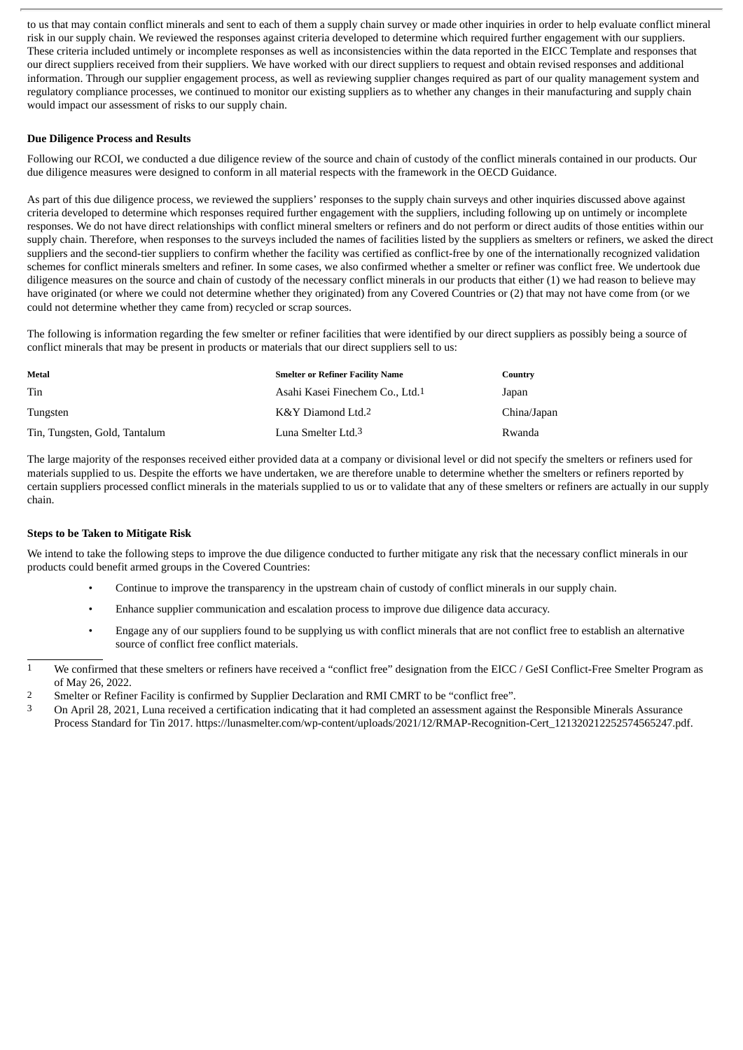to us that may contain conflict minerals and sent to each of them a supply chain survey or made other inquiries in order to help evaluate conflict mineral risk in our supply chain. We reviewed the responses against criteria developed to determine which required further engagement with our suppliers. These criteria included untimely or incomplete responses as well as inconsistencies within the data reported in the EICC Template and responses that our direct suppliers received from their suppliers. We have worked with our direct suppliers to request and obtain revised responses and additional information. Through our supplier engagement process, as well as reviewing supplier changes required as part of our quality management system and regulatory compliance processes, we continued to monitor our existing suppliers as to whether any changes in their manufacturing and supply chain would impact our assessment of risks to our supply chain.

#### **Due Diligence Process and Results**

Following our RCOI, we conducted a due diligence review of the source and chain of custody of the conflict minerals contained in our products. Our due diligence measures were designed to conform in all material respects with the framework in the OECD Guidance.

As part of this due diligence process, we reviewed the suppliers' responses to the supply chain surveys and other inquiries discussed above against criteria developed to determine which responses required further engagement with the suppliers, including following up on untimely or incomplete responses. We do not have direct relationships with conflict mineral smelters or refiners and do not perform or direct audits of those entities within our supply chain. Therefore, when responses to the surveys included the names of facilities listed by the suppliers as smelters or refiners, we asked the direct suppliers and the second-tier suppliers to confirm whether the facility was certified as conflict-free by one of the internationally recognized validation schemes for conflict minerals smelters and refiner. In some cases, we also confirmed whether a smelter or refiner was conflict free. We undertook due diligence measures on the source and chain of custody of the necessary conflict minerals in our products that either (1) we had reason to believe may have originated (or where we could not determine whether they originated) from any Covered Countries or (2) that may not have come from (or we could not determine whether they came from) recycled or scrap sources.

The following is information regarding the few smelter or refiner facilities that were identified by our direct suppliers as possibly being a source of conflict minerals that may be present in products or materials that our direct suppliers sell to us:

| Metal                         | <b>Smelter or Refiner Facility Name</b>     | Country     |
|-------------------------------|---------------------------------------------|-------------|
| Tin                           | Asahi Kasei Finechem Co., Ltd. <sup>1</sup> | Japan       |
| Tungsten                      | K&Y Diamond Ltd.2                           | China/Japan |
| Tin, Tungsten, Gold, Tantalum | Luna Smelter Ltd.3                          | Rwanda      |

The large majority of the responses received either provided data at a company or divisional level or did not specify the smelters or refiners used for materials supplied to us. Despite the efforts we have undertaken, we are therefore unable to determine whether the smelters or refiners reported by certain suppliers processed conflict minerals in the materials supplied to us or to validate that any of these smelters or refiners are actually in our supply chain.

#### **Steps to be Taken to Mitigate Risk**

We intend to take the following steps to improve the due diligence conducted to further mitigate any risk that the necessary conflict minerals in our products could benefit armed groups in the Covered Countries:

- Continue to improve the transparency in the upstream chain of custody of conflict minerals in our supply chain.
- Enhance supplier communication and escalation process to improve due diligence data accuracy.
- Engage any of our suppliers found to be supplying us with conflict minerals that are not conflict free to establish an alternative source of conflict free conflict materials.

<sup>1</sup> We confirmed that these smelters or refiners have received a "conflict free" designation from the EICC / GeSI Conflict-Free Smelter Program as of May 26, 2022.

<sup>2</sup> Smelter or Refiner Facility is confirmed by Supplier Declaration and RMI CMRT to be "conflict free".

<sup>3</sup> On April 28, 2021, Luna received a certification indicating that it had completed an assessment against the Responsible Minerals Assurance Process Standard for Tin 2017. https://lunasmelter.com/wp-content/uploads/2021/12/RMAP-Recognition-Cert\_121320212252574565247.pdf.